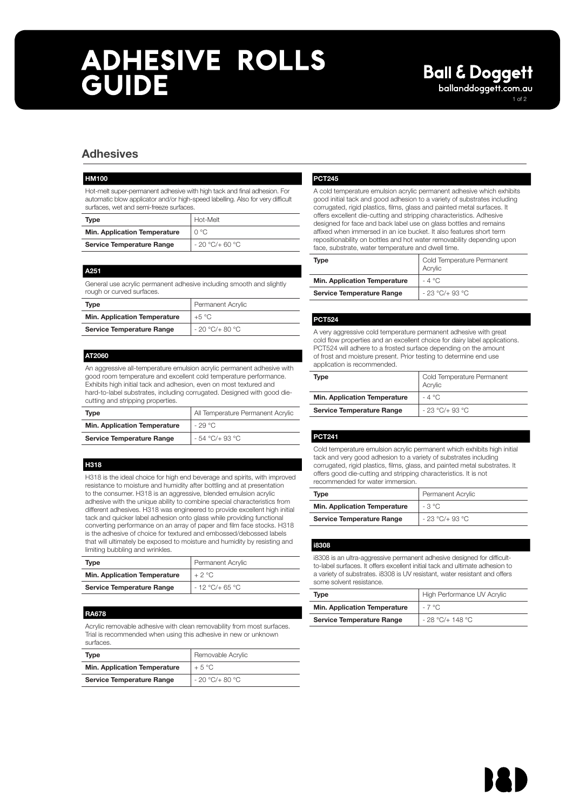# **ADHESIVE ROLLS GUIDE** ballanddoggett.com.au

1 of 2

# Adhesives

#### HM100

Hot-melt super-permanent adhesive with high tack and final adhesion. For automatic blow applicator and/or high-speed labelling. Also for very difficult surfaces, wet and semi-freeze surfaces.

| Type                             | Hot-Melt        |
|----------------------------------|-----------------|
| Min. Application Temperature     | ∩°C             |
| <b>Service Temperature Range</b> | $-20 °C/+60 °C$ |

#### A251

General use acrylic permanent adhesive including smooth and slightly rough or curved surfaces.

| Type                                | Permanent Acrylic |
|-------------------------------------|-------------------|
| <b>Min. Application Temperature</b> | $+5^{\circ}$ C    |
| <b>Service Temperature Range</b>    | $-20$ °C/+ 80 °C  |

### AT2060

An aggressive all-temperature emulsion acrylic permanent adhesive with good room temperature and excellent cold temperature performance. Exhibits high initial tack and adhesion, even on most textured and hard-to-label substrates, including corrugated. Designed with good diecutting and stripping properties.

| Type                                | All Temperature Permanent Acrylic |
|-------------------------------------|-----------------------------------|
| <b>Min. Application Temperature</b> | $-29^{\circ}$ C                   |
| <b>Service Temperature Range</b>    | $-54$ °C/+ 93 °C                  |

### H318

H318 is the ideal choice for high end beverage and spirits, with improved resistance to moisture and humidity after bottling and at presentation to the consumer. H318 is an aggressive, blended emulsion acrylic adhesive with the unique ability to combine special characteristics from different adhesives. H318 was engineered to provide excellent high initial tack and quicker label adhesion onto glass while providing functional converting performance on an array of paper and film face stocks. H318 is the adhesive of choice for textured and embossed/debossed labels that will ultimately be exposed to moisture and humidity by resisting and limiting bubbling and wrinkles.

| Type                                | Permanent Acrylic |
|-------------------------------------|-------------------|
| <b>Min. Application Temperature</b> | $+2$ °C           |
| <b>Service Temperature Range</b>    | $-12$ °C/+ 65 °C  |

### RA678

Acrylic removable adhesive with clean removability from most surfaces. Trial is recommended when using this adhesive in new or unknown surfaces.

| Type                                | Removable Acrylic |
|-------------------------------------|-------------------|
| <b>Min. Application Temperature</b> | $+5^{\circ}$ C    |
| <b>Service Temperature Range</b>    | $-20 °C/+80 °C$   |

### PCT245

A cold temperature emulsion acrylic permanent adhesive which exhibits good initial tack and good adhesion to a variety of substrates including corrugated, rigid plastics, films, glass and painted metal surfaces. It offers excellent die-cutting and stripping characteristics. Adhesive designed for face and back label use on glass bottles and remains affixed when immersed in an ice bucket. It also features short term repositionability on bottles and hot water removability depending upon face, substrate, water temperature and dwell time.

| Type                                | Cold Temperature Permanent<br>Acrylic |
|-------------------------------------|---------------------------------------|
| <b>Min. Application Temperature</b> | $-4^{\circ}$ C                        |
| <b>Service Temperature Range</b>    | $-23$ °C/+ 93 °C                      |

### PCT524

A very aggressive cold temperature permanent adhesive with great cold flow properties and an excellent choice for dairy label applications. PCT524 will adhere to a frosted surface depending on the amount of frost and moisture present. Prior testing to determine end use application is recommended.

| Type                                | Cold Temperature Permanent<br>Acrylic |
|-------------------------------------|---------------------------------------|
| <b>Min. Application Temperature</b> | $-4$ °C                               |
| <b>Service Temperature Range</b>    | $-23$ °C/+ 93 °C                      |

### PCT241

Cold temperature emulsion acrylic permanent which exhibits high initial tack and very good adhesion to a variety of substrates including corrugated, rigid plastics, films, glass, and painted metal substrates. It offers good die-cutting and stripping characteristics. It is not recommended for water immersion.

| <b>Type</b>                         | Permanent Acrylic |
|-------------------------------------|-------------------|
| <b>Min. Application Temperature</b> | $-3$ °C           |
| <b>Service Temperature Range</b>    | $-23$ °C/+ 93 °C  |

### i8308

i8308 is an ultra-aggressive permanent adhesive designed for difficultto-label surfaces. It offers excellent initial tack and ultimate adhesion to a variety of substrates. i8308 is UV resistant, water resistant and offers some solvent resistance

| Type                                | High Performance UV Acrylic |
|-------------------------------------|-----------------------------|
| <b>Min. Application Temperature</b> | $-7^{\circ}$ C.             |
| <b>Service Temperature Range</b>    | $-28$ °C/+ 148 °C           |